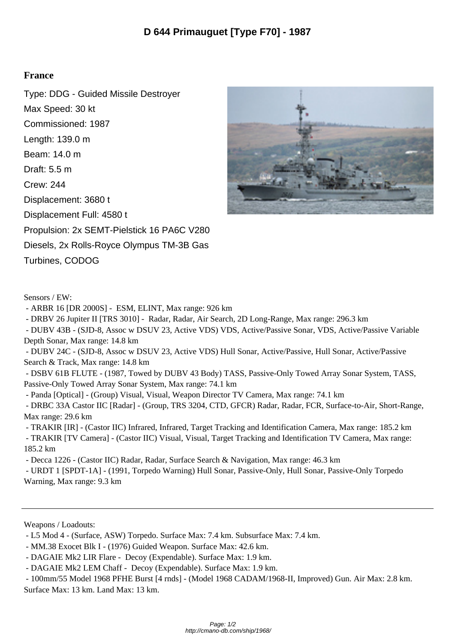## **France**

Type: DDG - Guided Missile Destroyer Max Speed: 30 kt Commissioned: 1987 Length: 139.0 m Beam: 14.0 m Draft: 5.5 m Crew: 244 Displacement: 3680 t Displacement Full: 4580 t Propulsion: 2x SEMT-Pielstick 16 PA6C V280 Diesels, 2x Rolls-Royce Olympus TM-3B Gas Turbines, CODOG



- ARBR 16 [DR 2000S] - ESM, ELINT, Max range: 926 km

- DRBV 26 Jupiter II [TRS 3010] - Radar, Radar, Air Search, 2D Long-Range, Max range: 296.3 km

 - DUBV 43B - (SJD-8, Assoc w DSUV 23, Active VDS) VDS, Active/Passive Sonar, VDS, Active/Passive Variable Depth Sonar, Max range: 14.8 km

 - DUBV 24C - (SJD-8, Assoc w DSUV 23, Active VDS) Hull Sonar, Active/Passive, Hull Sonar, Active/Passive Search & Track, Max range: 14.8 km

 - DSBV 61B FLUTE - (1987, Towed by DUBV 43 Body) TASS, Passive-Only Towed Array Sonar System, TASS, Passive-Only Towed Array Sonar System, Max range: 74.1 km

- Panda [Optical] - (Group) Visual, Visual, Weapon Director TV Camera, Max range: 74.1 km

 - DRBC 33A Castor IIC [Radar] - (Group, TRS 3204, CTD, GFCR) Radar, Radar, FCR, Surface-to-Air, Short-Range, Max range: 29.6 km

- TRAKIR [IR] - (Castor IIC) Infrared, Infrared, Target Tracking and Identification Camera, Max range: 185.2 km

 - TRAKIR [TV Camera] - (Castor IIC) Visual, Visual, Target Tracking and Identification TV Camera, Max range: 185.2 km

- Decca 1226 - (Castor IIC) Radar, Radar, Surface Search & Navigation, Max range: 46.3 km

 - URDT 1 [SPDT-1A] - (1991, Torpedo Warning) Hull Sonar, Passive-Only, Hull Sonar, Passive-Only Torpedo Warning, Max range: 9.3 km

Weapons / Loadouts:

- L5 Mod 4 - (Surface, ASW) Torpedo. Surface Max: 7.4 km. Subsurface Max: 7.4 km.

- MM.38 Exocet Blk I - (1976) Guided Weapon. Surface Max: 42.6 km.

- DAGAIE Mk2 LIR Flare - Decoy (Expendable). Surface Max: 1.9 km.

- DAGAIE Mk2 LEM Chaff - Decoy (Expendable). Surface Max: 1.9 km.

 - 100mm/55 Model 1968 PFHE Burst [4 rnds] - (Model 1968 CADAM/1968-II, Improved) Gun. Air Max: 2.8 km. Surface Max: 13 km. Land Max: 13 km.